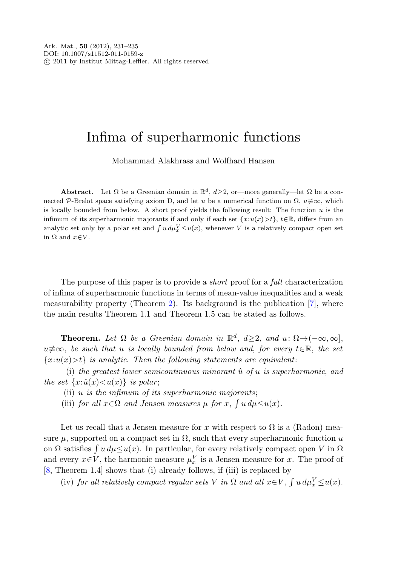## Infima of superharmonic functions

Mohammad Alakhrass and Wolfhard Hansen

**Abstract.** Let  $\Omega$  be a Greenian domain in  $\mathbb{R}^d$ ,  $d \geq 2$ , or—more generally—let  $\Omega$  be a connected P-Brelot space satisfying axiom D, and let u be a numerical function on  $\Omega$ ,  $u \neq \infty$ , which is locally bounded from below. A short proof yields the following result: The function  $u$  is the infimum of its superharmonic majorants if and only if each set  $\{x:u(x)>t\}$ ,  $t\in\mathbb{R}$ , differs from an analytic set only by a polar set and  $\int u d\mu_x^V \leq u(x)$ , whenever V is a relatively compact open set in  $\Omega$  and  $x \in V$ .

The purpose of this paper is to provide a *short* proof for a *full* characterization of infima of superharmonic functions in terms of mean-value inequalities and a weak measurability property (Theorem [2\)](#page-2-0). Its background is the publication [[7\]](#page-4-0), where the main results Theorem 1.1 and Theorem 1.5 can be stated as follows.

**Theorem.** Let  $\Omega$  be a Greenian domain in  $\mathbb{R}^d$ ,  $d \geq 2$ , and  $u: \Omega \to (-\infty, \infty]$ ,  $u\neq\infty$ , be such that u is locally bounded from below and, for every  $t\in\mathbb{R}$ , the set  ${x:u(x) > t}$  is analytic. Then the following statements are equivalent:

(i) the greatest lower semicontinuous minorant  $\hat{u}$  of u is superharmonic, and the set  $\{x:\hat{u}(x)\leq u(x)\}\$ is polar;

- (ii)  $u$  is the infimum of its superharmonic majorants;
- (iii) for all  $x \in \Omega$  and Jensen measures  $\mu$  for  $x$ ,  $\int u d\mu \leq u(x)$ .

Let us recall that a Jensen measure for x with respect to  $\Omega$  is a (Radon) measure  $\mu$ , supported on a compact set in  $\Omega$ , such that every superharmonic function u on  $\Omega$  satisfies  $\int u \, d\mu \leq u(x)$ . In particular, for every relatively compact open V in  $\Omega$ and every  $x \in V$ , the harmonic measure  $\mu_x^V$  is a Jensen measure for x. The proof of [\[8](#page-4-1), Theorem 1.4] shows that (i) already follows, if (iii) is replaced by

(iv) for all relatively compact regular sets V in  $\Omega$  and all  $x \in V$ ,  $\int u d\mu_x^V \le u(x)$ .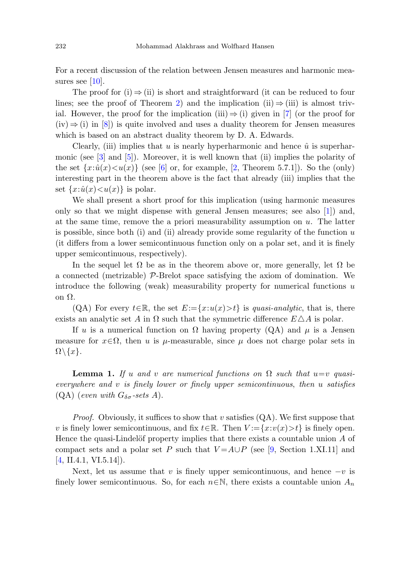For a recent discussion of the relation between Jensen measures and harmonic mea-sures see [[10\]](#page-4-2).

The proof for (i)  $\Rightarrow$  (ii) is short and straightforward (it can be reduced to four lines; see the proof of Theorem [2](#page-2-0)) and the implication (ii)  $\Rightarrow$  (iii) is almost trivial. However, the proof for the implication (iii)  $\Rightarrow$  (i) given in [[7\]](#page-4-0) (or the proof for  $(iv) \Rightarrow (i)$  in [[8\]](#page-4-1)) is quite involved and uses a duality theorem for Jensen measures which is based on an abstract duality theorem by D. A. Edwards.

Clearly, (iii) implies that u is nearly hyperharmonic and hence  $\hat{u}$  is superharmonic (see [\[3](#page-3-0)] and [[5\]](#page-3-1)). Moreover, it is well known that (ii) implies the polarity of the set  $\{x:\hat{u}(x) \lt u(x)\}\$  (see [\[6](#page-4-3)] or, for example, [\[2](#page-3-2), Theorem 5.7.1]). So the (only) interesting part in the theorem above is the fact that already (iii) implies that the set  $\{x:\hat{u}(x)\lt u(x)\}\)$  is polar.

We shall present a short proof for this implication (using harmonic measures only so that we might dispense with general Jensen measures; see also [[1\]](#page-3-3)) and, at the same time, remove the a priori measurability assumption on  $u$ . The latter is possible, since both (i) and (ii) already provide some regularity of the function  $u$ (it differs from a lower semicontinuous function only on a polar set, and it is finely upper semicontinuous, respectively).

In the sequel let  $\Omega$  be as in the theorem above or, more generally, let  $\Omega$  be a connected (metrizable)  $\mathcal{P}$ -Brelot space satisfying the axiom of domination. We introduce the following (weak) measurability property for numerical functions  $u$ on Ω.

<span id="page-1-0"></span> $(QA)$  For every  $t \in \mathbb{R}$ , the set  $E:=\{x:u(x) > t\}$  is *quasi-analytic*, that is, there exists an analytic set A in  $\Omega$  such that the symmetric difference  $E \triangle A$  is polar.

If u is a numerical function on  $\Omega$  having property (QA) and  $\mu$  is a Jensen measure for  $x \in \Omega$ , then u is  $\mu$ -measurable, since  $\mu$  does not charge polar sets in  $\Omega \backslash \{x\}.$ 

**Lemma 1.** If u and v are numerical functions on  $\Omega$  such that  $u=v$  quasieverywhere and v is finely lower or finely upper semicontinuous, then u satisfies (QA) (even with  $G_{\delta\sigma}$ -sets A).

*Proof.* Obviously, it suffices to show that v satisfies  $(QA)$ . We first suppose that v is finely lower semicontinuous, and fix  $t \in \mathbb{R}$ . Then  $V := \{x : v(x) > t\}$  is finely open. Hence the quasi-Lindelöf property implies that there exists a countable union  $\tilde{A}$  of compact sets and a polar set P such that  $V = A \cup P$  (see [[9,](#page-4-4) Section 1.XI.11] and  $[4, \text{II}.4.1, \text{VI}.5.14]$  $[4, \text{II}.4.1, \text{VI}.5.14]$ ).

Next, let us assume that v is finely upper semicontinuous, and hence  $-v$  is finely lower semicontinuous. So, for each  $n \in \mathbb{N}$ , there exists a countable union  $A_n$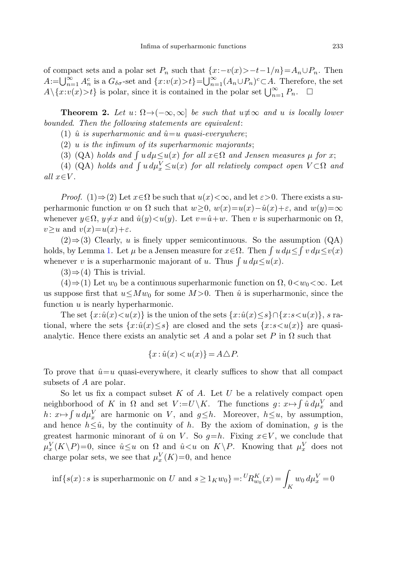<span id="page-2-0"></span>of compact sets and a polar set  $P_n$  such that  $\{x:-v(x) > -t-1/n\} = A_n \cup P_n$ . Then  $A:=\bigcup_{n=1}^{\infty} A_n^c$  is a  $G_{\delta\sigma}$ -set and  $\{x: v(x)>t\}=\bigcup_{n=1}^{\infty} (A_n\cup P_n)^c\subset A$ . Therefore, the set  $A \setminus \{x : v(x) > t\}$  is polar, since it is contained in the polar set  $\bigcup_{n=1}^{\infty} P_n$ .  $\Box$ 

**Theorem 2.** Let  $u: \Omega \to (-\infty, \infty]$  be such that  $u \not\equiv \infty$  and u is locally lower bounded. Then the following statements are equivalent:

(1)  $\hat{u}$  is superharmonic and  $\hat{u} = u$  quasi-everywhere;

 $(2)$  u is the infimum of its superharmonic majorants;

(3) (QA) holds and  $\int u \, d\mu \leq u(x)$  for all  $x \in \Omega$  and Jensen measures  $\mu$  for x;

(4) (QA) holds and  $\int u d\mu_x^V \le u(x)$  for all relatively compact open  $V \subset \Omega$  and all  $x \in V$ .

*Proof.* (1)⇒(2) Let  $x \in \Omega$  be such that  $u(x) < \infty$ , and let  $\varepsilon > 0$ . There exists a superharmonic function w on  $\Omega$  such that  $w \geq 0$ ,  $w(x)=u(x)-\hat{u}(x)+\varepsilon$ , and  $w(y)=\infty$ whenever  $y \in \Omega$ ,  $y \neq x$  and  $\hat{u}(y) < u(y)$ . Let  $v = \hat{u} + w$ . Then v is superharmonic on  $\Omega$ ,  $v > u$  and  $v(x) = u(x) + \varepsilon$ .

 $(2) \Rightarrow (3)$  Clearly, u is finely upper semicontinuous. So the assumption  $(QA)$ holds, by Lemma [1](#page-1-0). Let  $\mu$  be a Jensen measure for  $x \in \Omega$ . Then  $\int u \, d\mu \leq \int v \, d\mu \leq v(x)$ whenever v is a superharmonic majorant of u. Thus  $\int u d\mu \leq u(x)$ .

 $(3) \Rightarrow (4)$  This is trivial.

 $(4) \Rightarrow (1)$  Let  $w_0$  be a continuous superharmonic function on  $\Omega$ ,  $0 \lt w_0 \lt \infty$ . Let us suppose first that  $u \leq Mw_0$  for some  $M>0$ . Then  $\hat{u}$  is superharmonic, since the function  $u$  is nearly hyperharmonic.

The set  $\{x:\hat{u}(x) \lt u(x)\}\$ is the union of the sets  $\{x:\hat{u}(x) \leq s\} \cap \{x:s\lt u(x)\}\$ , s rational, where the sets  $\{x:\hat{u}(x)\leq s\}$  are closed and the sets  $\{x:s\lt u(x)\}\$  are quasianalytic. Hence there exists an analytic set A and a polar set P in  $\Omega$  such that

$$
\{x: \hat{u}(x) < u(x)\} = A \triangle P.
$$

To prove that  $\hat{u}=u$  quasi-everywhere, it clearly suffices to show that all compact subsets of A are polar.

So let us fix a compact subset  $K$  of  $A$ . Let  $U$  be a relatively compact open neighborhood of K in  $\Omega$  and set  $V := U \setminus K$ . The functions  $g: x \mapsto \int \hat{u} d\mu_x^V$  and  $h: x \mapsto \int u \, d\mu_x^V$  are harmonic on V, and  $g \leq h$ . Moreover,  $h \leq u$ , by assumption, and hence  $h \leq \hat{u}$ , by the continuity of h. By the axiom of domination, g is the greatest harmonic minorant of  $\hat{u}$  on V. So  $q=h$ . Fixing  $x\in V$ , we conclude that  $\mu_x^V(K \backslash P)=0$ , since  $\hat{u} \leq u$  on  $\Omega$  and  $\hat{u} \lt u$  on  $K \backslash P$ . Knowing that  $\mu_x^V$  does not charge polar sets, we see that  $\mu_x^V(K)=0$ , and hence

$$
\inf\{s(x) : s \text{ is superharmonic on } U \text{ and } s \ge 1_K w_0\} =: {}^{U}R_{w_0}^K(x) = \int_K w_0 d\mu_x^V = 0
$$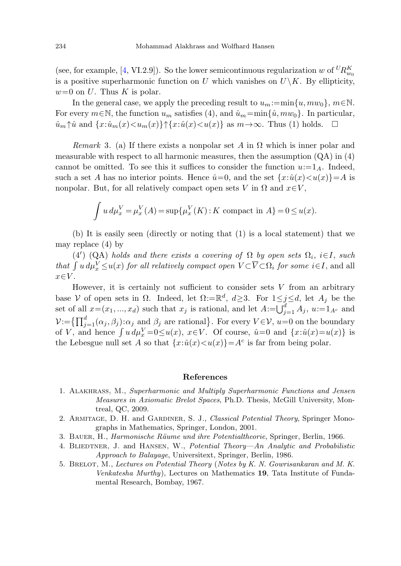(see, for example, [\[4](#page-3-4), VI.2.9]). So the lower semicontinuous regularization w of  $^U R_{w_0}^K$ is a positive superharmonic function on U which vanishes on  $U\setminus K$ . By ellipticity,  $w=0$  on U. Thus K is polar.

In the general case, we apply the preceding result to  $u_m:=\min\{u, m w_0\}, m \in \mathbb{N}$ . For every  $m \in \mathbb{N}$ , the function  $u_m$  satisfies (4), and  $\hat{u}_m = \min{\{\hat{u}, m w_0\}}$ . In particular,  $\hat{u}_m \uparrow \hat{u}$  and  $\{x:\hat{u}_m(x) \leq u_m(x)\}\uparrow \{x:\hat{u}(x) \leq u(x)\}\$ as  $m \to \infty$ . Thus (1) holds.  $\Box$ 

Remark 3. (a) If there exists a nonpolar set A in  $\Omega$  which is inner polar and measurable with respect to all harmonic measures, then the assumption  $(QA)$  in  $(4)$ cannot be omitted. To see this it suffices to consider the function  $u:=1_A$ . Indeed, such a set A has no interior points. Hence  $\hat{u}=0$ , and the set  $\{x:\hat{u}(x) is$ nonpolar. But, for all relatively compact open sets V in  $\Omega$  and  $x \in V$ .

$$
\int u \, d\mu_x^V = \mu_x^V(A) = \sup \{ \mu_x^V(K) : K \text{ compact in } A \} = 0 \le u(x).
$$

(b) It is easily seen (directly or noting that (1) is a local statement) that we may replace (4) by

(4') (QA) holds and there exists a covering of  $\Omega$  by open sets  $\Omega_i$ ,  $i \in I$ , such that  $\int u d\mu_x^V \le u(x)$  for all relatively compact open  $V \subset \overline{V} \subset \Omega_i$  for some  $i \in I$ , and all  $x \in V$ .

<span id="page-3-3"></span>However, it is certainly not sufficient to consider sets  $V$  from an arbitrary base V of open sets in  $\Omega$ . Indeed, let  $\Omega := \mathbb{R}^d$ ,  $d \geq 3$ . For  $1 \leq j \leq d$ , let  $A_j$  be the set of all  $x=(x_1,...,x_d)$  such that  $x_j$  is rational, and let  $A:=\bigcup_{j=1}^d A_j$ ,  $u:=1_{A^c}$  and  $\mathcal{V} := \left\{ \prod_{j=1}^d (\alpha_j, \beta_j) : \alpha_j \text{ and } \beta_j \text{ are rational} \right\}.$  For every  $V \in \mathcal{V}, u=0$  on the boundary of V, and hence  $\int u d\mu_x^V = 0 \le u(x)$ ,  $x \in V$ . Of course,  $\hat{u} = 0$  and  $\{x : \hat{u}(x) = u(x)\}$  is the Lebesgue null set A so that  $\{x:\hat{u}(x) \leq u(x)\} = A^c$  is far from being polar.

## **References**

- <span id="page-3-4"></span><span id="page-3-2"></span><span id="page-3-1"></span><span id="page-3-0"></span>1. Alakhrass, M., Superharmonic and Multiply Superharmonic Functions and Jensen Measures in Axiomatic Brelot Spaces, Ph.D. Thesis, McGill University, Montreal, QC, 2009.
- 2. Armitage, D. H. and Gardiner, S. J., Classical Potential Theory, Springer Monographs in Mathematics, Springer, London, 2001.
- 3. BAUER, H., *Harmonische Räume und ihre Potentialtheorie*, Springer, Berlin, 1966.
- 4. BLIEDTNER, J. and HANSEN, W., Potential Theory—An Analytic and Probabilistic Approach to Balayage, Universitext, Springer, Berlin, 1986.
- 5. Brelot, M., Lectures on Potential Theory (Notes by K. N. Gowrisankaran and M. K. Venkatesha Murthy), Lectures on Mathematics **19**, Tata Institute of Fundamental Research, Bombay, 1967.